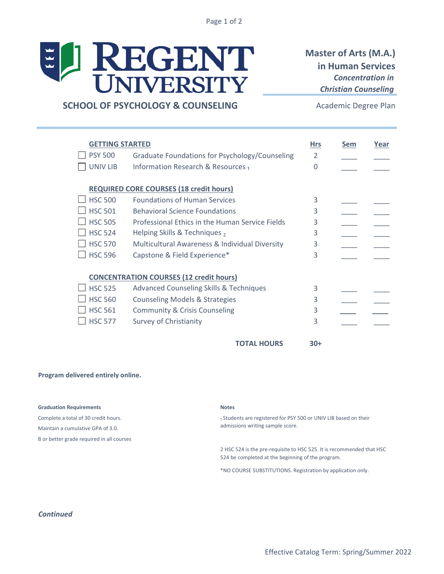Page 1 of 2

# ELI REGENT

# **Master of Arts (M.A.) in Human Services**  *Concentration in Christian Counseling*

# **SCHOOL OF PSYCHOLOGY & COUNSELING**

Academic Degree Plan

| <b>GETTING STARTED</b> |                                                        | <b>Hrs</b>    | Sem | Year |
|------------------------|--------------------------------------------------------|---------------|-----|------|
| <b>PSY 500</b>         | Graduate Foundations for Psychology/Counseling         | $\mathcal{P}$ |     |      |
| <b>UNIV LIB</b>        | Information Research & Resources <sub>1</sub>          | $\Omega$      |     |      |
|                        | <b>REQUIRED CORE COURSES (18 credit hours)</b>         |               |     |      |
| <b>HSC 500</b>         | <b>Foundations of Human Services</b>                   | 3             |     |      |
| <b>HSC 501</b>         | <b>Behavioral Science Foundations</b>                  | 3             |     |      |
| <b>HSC 505</b>         | <b>Professional Ethics in the Human Service Fields</b> | 3             |     |      |
| <b>HSC 524</b>         | Helping Skills & Techniques,                           | 3             |     |      |
| <b>HSC 570</b>         | Multicultural Awareness & Individual Diversity         | 3             |     |      |
| <b>HSC 596</b>         | Capstone & Field Experience*                           | 3             |     |      |
|                        | <b>CONCENTRATION COURSES (12 credit hours)</b>         |               |     |      |
| <b>HSC 525</b>         | <b>Advanced Counseling Skills &amp; Techniques</b>     | 3             |     |      |
| <b>HSC 560</b>         | <b>Counseling Models &amp; Strategies</b>              | 3             |     |      |
| <b>HSC 561</b>         | <b>Community &amp; Crisis Counseling</b>               | 3             |     |      |
| <b>HSC 577</b>         | <b>Survey of Christianity</b>                          | 3             |     |      |
|                        | <b>TOTAL HOURS</b>                                     | $30+$         |     |      |

#### **Program delivered entirely online.**

#### **Graduation Requirements** Notes

Complete a total of 30 credit hours. Maintain a cumulative GPA of 3.0. B or better grade required in all courses

1 Students are registered for PSY 500 or UNIV LIB based on their admissions writing sample score.

2 HSC 524 is the pre-requisite to HSC 525. It is recommended that HSC 524 be completed at the beginning of the program.

\*NO COURSE SUBSTITUTIONS. Registration by application only.

### *Continued*